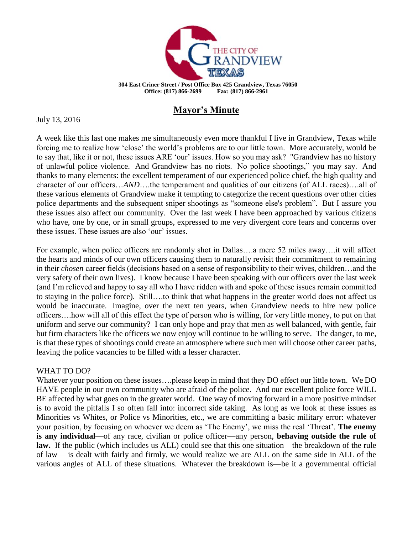

## **Mayor's Minute**

July 13, 2016

A week like this last one makes me simultaneously even more thankful I live in Grandview, Texas while forcing me to realize how 'close' the world's problems are to our little town. More accurately, would be to say that, like it or not, these issues ARE 'our' issues. How so you may ask? "Grandview has no history of unlawful police violence. And Grandview has no riots. No police shootings," you may say. And thanks to many elements: the excellent temperament of our experienced police chief, the high quality and character of our officers…*AND*….the temperament and qualities of our citizens (of ALL races)….all of these various elements of Grandview make it tempting to categorize the recent questions over other cities police departments and the subsequent sniper shootings as "someone else's problem". But I assure you these issues also affect our community. Over the last week I have been approached by various citizens who have, one by one, or in small groups, expressed to me very divergent core fears and concerns over these issues. These issues are also 'our' issues.

For example, when police officers are randomly shot in Dallas….a mere 52 miles away….it will affect the hearts and minds of our own officers causing them to naturally revisit their commitment to remaining in their *chosen* career fields (decisions based on a sense of responsibility to their wives, children…and the very safety of their own lives). I know because I have been speaking with our officers over the last week (and I'm relieved and happy to say all who I have ridden with and spoke of these issues remain committed to staying in the police force). Still….to think that what happens in the greater world does not affect us would be inaccurate. Imagine, over the next ten years, when Grandview needs to hire new police officers….how will all of this effect the type of person who is willing, for very little money, to put on that uniform and serve our community? I can only hope and pray that men as well balanced, with gentle, fair but firm characters like the officers we now enjoy will continue to be willing to serve. The danger, to me, is that these types of shootings could create an atmosphere where such men will choose other career paths, leaving the police vacancies to be filled with a lesser character.

## WHAT TO DO?

Whatever your position on these issues….please keep in mind that they DO effect our little town. We DO HAVE people in our own community who are afraid of the police. And our excellent police force WILL BE affected by what goes on in the greater world. One way of moving forward in a more positive mindset is to avoid the pitfalls I so often fall into: incorrect side taking. As long as we look at these issues as Minorities vs Whites, or Police vs Minorities, etc., we are committing a basic military error: whatever your position, by focusing on whoever we deem as 'The Enemy', we miss the real 'Threat'. **The enemy is any individual**—of any race, civilian or police officer—any person, **behaving outside the rule of law.** If the public (which includes us ALL) could see that this one situation—the breakdown of the rule of law— is dealt with fairly and firmly, we would realize we are ALL on the same side in ALL of the various angles of ALL of these situations. Whatever the breakdown is—be it a governmental official